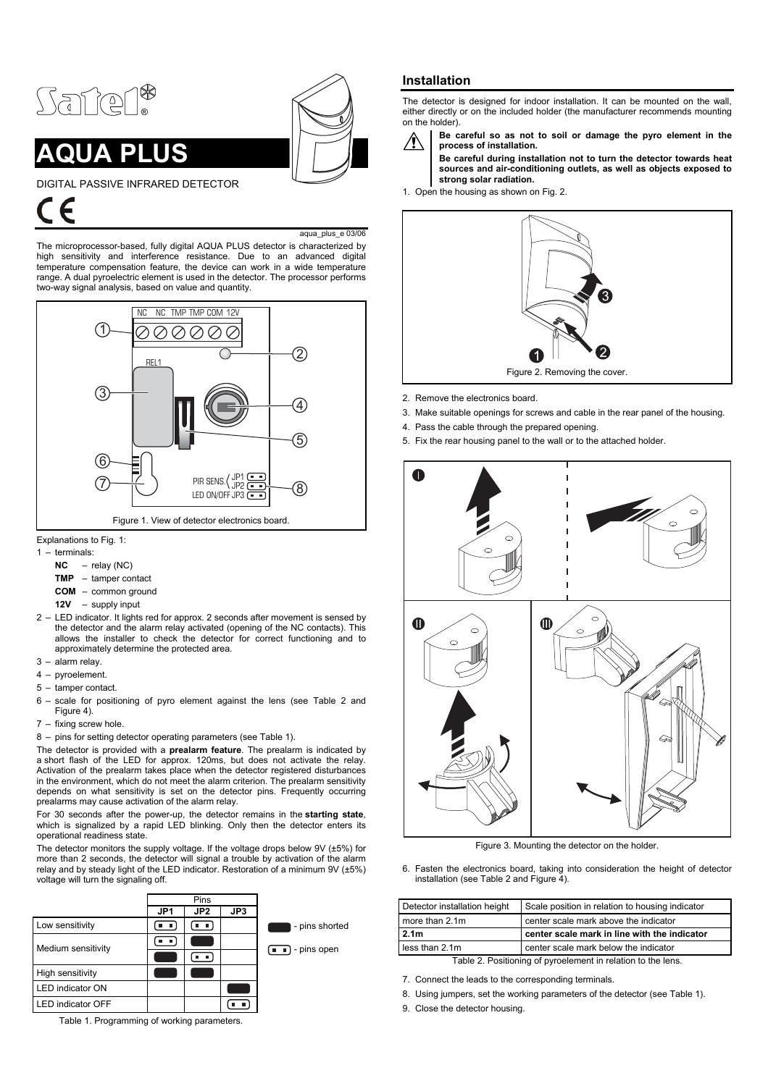

# **AUA PLUS**



DIGITAL PASSIVE INFRARED DETECTOR

aqua\_plus\_e 03/06

The microprocessor-based, fully digital AQUA PLUS detector is characterized by high sensitivity and interference resistance. Due to an advanced digital temperature compensation feature, the device can work in a wide temperature range. A dual pyroelectric element is used in the detector. The processor performs two-way signal analysis, based on value and quantity.



Explanations to Fig. 1:

- 1 terminals:
	- **NC** relay (NC)
	- **TMP** tamper contact
	- **COM** common ground
	- **12V** supply input
- 2 LED indicator. It lights red for approx. 2 seconds after movement is sensed by the detector and the alarm relay activated (opening of the NC contacts). This allows the installer to check the detector for correct functioning and to approximately determine the protected area.
- 3 alarm relay.
- 4 pyroelement.
- 5 tamper contact.
- 6 scale for positioning of pyro element against the lens (see Table 2 and Figure 4).
- 7 fixing screw hole.
- 8 pins for setting detector operating parameters (see Table 1).

The detector is provided with a **prealarm feature**. The prealarm is indicated by a short flash of the LED for approx. 120ms, but does not activate the relay. Activation of the prealarm takes place when the detector registered disturbances in the environment, which do not meet the alarm criterion. The prealarm sensitivity depends on what sensitivity is set on the detector pins. Frequently occurring prealarms may cause activation of the alarm relay.

For 30 seconds after the power-up, the detector remains in the **starting state**, which is signalized by a rapid LED blinking. Only then the detector enters its operational readiness state.

The detector monitors the supply voltage. If the voltage drops below 9V (±5%) for more than 2 seconds, the detector will signal a trouble by activation of the alarm relay and by steady light of the LED indicator. Restoration of a minimum 9V (±5%) voltage will turn the signaling off.



Table 1. Programming of working parameters.

## **Installation**

The detector is designed for indoor installation. It can be mounted on the wall, either directly or on the included holder (the manufacturer recommends mounting on the holder).



**Be careful so as not to soil or damage the pyro element in the process of installation.** 

**Be careful during installation not to turn the detector towards heat sources and air-conditioning outlets, as well as objects exposed to strong solar radiation.** 

1. Open the housing as shown on Fig. 2.



- 2. Remove the electronics board.
- 3. Make suitable openings for screws and cable in the rear panel of the housing.
- 4. Pass the cable through the prepared opening.
- 5. Fix the rear housing panel to the wall or to the attached holder.



Figure 3. Mounting the detector on the holder.

6. Fasten the electronics board, taking into consideration the height of detector installation (see Table 2 and Figure 4).

| Detector installation height | Scale position in relation to housing indicator |
|------------------------------|-------------------------------------------------|
| more than 2.1m               | center scale mark above the indicator           |
| 2.1 <sub>m</sub>             | center scale mark in line with the indicator    |
| less than 2.1m               | center scale mark below the indicator           |
|                              |                                                 |

Table 2. Positioning of pyroelement in relation to the lens.

- 7. Connect the leads to the corresponding terminals.
- 8. Using jumpers, set the working parameters of the detector (see Table 1).
- 9. Close the detector housing.